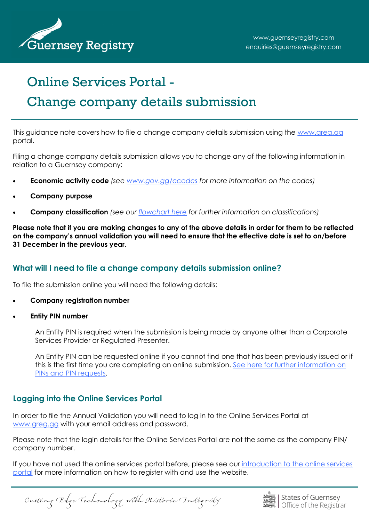

# Online Services Portal -

# Change company details submission

This guidance note covers how to file a change company details submission using the [www.greg.gg](http://www.greg.gg/) portal.

Filing a change company details submission allows you to change any of the following information in relation to a Guernsey company:

- **Economic activity code** *(see [www.gov.gg/ecodes](http://www.gov.gg/ecodes) for more information on the codes)*
- **Company purpose**
- **Company classification** *(see our [flowchart here](http://guernseyregistry.com/CHttpHandler.ashx?id=89001&p=0) for further information on classifications)*

**Please note that if you are making changes to any of the above details in order for them to be reflected on the company's annual validation you will need to ensure that the effective date is set to on/before 31 December in the previous year.**

## **What will I need to file a change company details submission online?**

To file the submission online you will need the following details:

- **Company registration number**
- **Entity PIN number**

An Entity PIN is required when the submission is being made by anyone other than a Corporate Services Provider or Regulated Presenter.

An Entity PIN can be requested online if you cannot find one that has been previously issued or if this is the first time you are completing an online submission. [See here for further information on](guernseyregistry.com/article/155309/Personentity-PINs)  [PINs and PIN requests.](guernseyregistry.com/article/155309/Personentity-PINs)

## **Logging into the Online Services Portal**

In order to file the Annual Validation you will need to log in to the Online Services Portal at [www.greg.gg](http://www.greg.gg) with your email address and password.

Please note that the login details for the Online Services Portal are not the same as the company PIN/ company number.

If you have not used the online services portal before, please see our [introduction to the online services](http://guernseyregistry.com/CHttpHandler.ashx?id=1565&p=0)  [portal](http://guernseyregistry.com/CHttpHandler.ashx?id=1565&p=0) for more information on how to register with and use the website.

Cutting Edge Technology with Historic Integrity

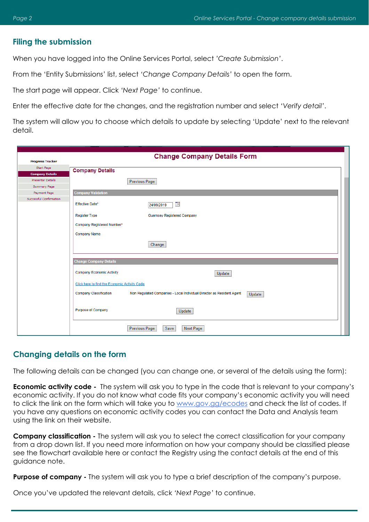#### **Filing the submission**

When you have logged into the Online Services Portal, select *'Create Submission'*.

From the 'Entity Submissions' list, select *'Change Company Details'* to open the form.

The start page will appear. Click *'Next Page'* to continue.

Enter the effective date for the changes, and the registration number and select *'Verify detail'*.

The system will allow you to choose which details to update by selecting 'Update' next to the relevant detail.

| <b>Progress Tracker</b>  | <b>Change Company Details Form</b>                                                                               |
|--------------------------|------------------------------------------------------------------------------------------------------------------|
| Start Page               | <b>Company Details</b>                                                                                           |
| <b>Company Details</b>   |                                                                                                                  |
| <b>Presenter Details</b> | Previous Page                                                                                                    |
| Summary Page             |                                                                                                                  |
| Payment Page             | <b>Company Validation</b>                                                                                        |
| Successful Confirmation  | <b>Effective Date*</b><br>T.<br>24/09/2019                                                                       |
|                          | <b>Guernsey Registered Company</b><br><b>Register Type</b>                                                       |
|                          | Company Registered Number*                                                                                       |
|                          | <b>Company Name</b>                                                                                              |
|                          |                                                                                                                  |
|                          | Change                                                                                                           |
|                          |                                                                                                                  |
|                          | <b>Change Company Details</b>                                                                                    |
|                          | <b>Company Economic Activity</b><br>Update                                                                       |
|                          | Click here to find the Economic Activity Code                                                                    |
|                          | <b>Company Classification</b><br>Non Regulated Companies - Local Individual Director as Resident Agent<br>Update |
|                          | <b>Purpose of Company</b><br>Update                                                                              |
|                          | Previous Page<br>Save<br>Next Page                                                                               |

#### **Changing details on the form**

The following details can be changed (you can change one, or several of the details using the form):

**Economic activity code -** The system will ask you to type in the code that is relevant to your company's economic activity. If you do not know what code fits your company's economic activity you will need to click the link on the form which will take you to [www.gov.gg/ecodes](http://www.gov.gg/ecodes) and check the list of codes. If you have any questions on economic activity codes you can contact the Data and Analysis team using the link on their website.

**Company classification -** The system will ask you to select the correct classification for your company from a drop down list. If you need more information on how your company should be classified please see the flowchart available here or contact the Registry using the contact details at the end of this guidance note.

**Purpose of company -** The system will ask you to type a brief description of the company's purpose.

Once you've updated the relevant details, click *'Next Page'* to continue.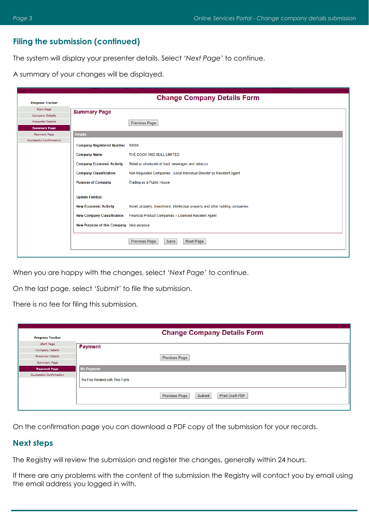### **Filing the submission (continued)**

The system will display your presenter details. Select *'Next Page'* to continue.

A summary of your changes will be displayed.

|                                         |                                         | <b>Change Company Details Form</b>                                             |
|-----------------------------------------|-----------------------------------------|--------------------------------------------------------------------------------|
| <b>Progress Tracker</b>                 |                                         |                                                                                |
| Start Page                              | <b>Summary Page</b>                     |                                                                                |
| Company Details                         |                                         |                                                                                |
| <b>Presenter Details</b>                |                                         | Previous Page                                                                  |
| <b>Summary Page</b>                     |                                         |                                                                                |
| Payment Page<br>Successful Confirmation | <b>Details</b>                          |                                                                                |
|                                         | Company Registered Number 50000         |                                                                                |
|                                         | <b>Company Name</b>                     | THE COCK AND BULL LIMITED                                                      |
|                                         | <b>Company Economic Activity</b>        | Retail or wholesale of food, beverages and tobacco                             |
|                                         | <b>Company Classification</b>           | Non Regulated Companies - Local Individual Director as Resident Agent          |
|                                         | <b>Purpose of Company</b>               | Trading as a Public House                                                      |
|                                         | <b>Update Field(s):</b>                 |                                                                                |
|                                         | <b>New Economic Activity</b>            | Asset, property, investment, intellectual property and other holding companies |
|                                         | <b>New Company Classification</b>       | Financial Product Companies - Licensed Resident Agent                          |
|                                         | New Purpose of this Company New purpose |                                                                                |
|                                         |                                         | <b>Previous Page</b><br>Save<br>Next Page                                      |

When you are happy with the changes, select *'Next Page'* to continue.

On the last page, select *'Submit'* to file the submission.

There is no fee for filing this submission.

| <b>Progress Tracker</b>  | <b>Change Company Details Form</b>                |  |
|--------------------------|---------------------------------------------------|--|
| Start Page               | <b>Payment</b>                                    |  |
| Company Details          |                                                   |  |
| <b>Presenter Details</b> | <b>Previous Page</b>                              |  |
| Summary Page             |                                                   |  |
| <b>Payment Page</b>      | <b>No Payment</b>                                 |  |
| Successful Confirmation  | No Fee Related with This Form                     |  |
|                          | <b>Print Draft PDF</b><br>Submit<br>Previous Page |  |

On the confirmation page you can download a PDF copy of the submission for your records.

#### **Next steps**

The Registry will review the submission and register the changes, generally within 24 hours.

If there are any problems with the content of the submission the Registry will contact you by email using the email address you logged in with.